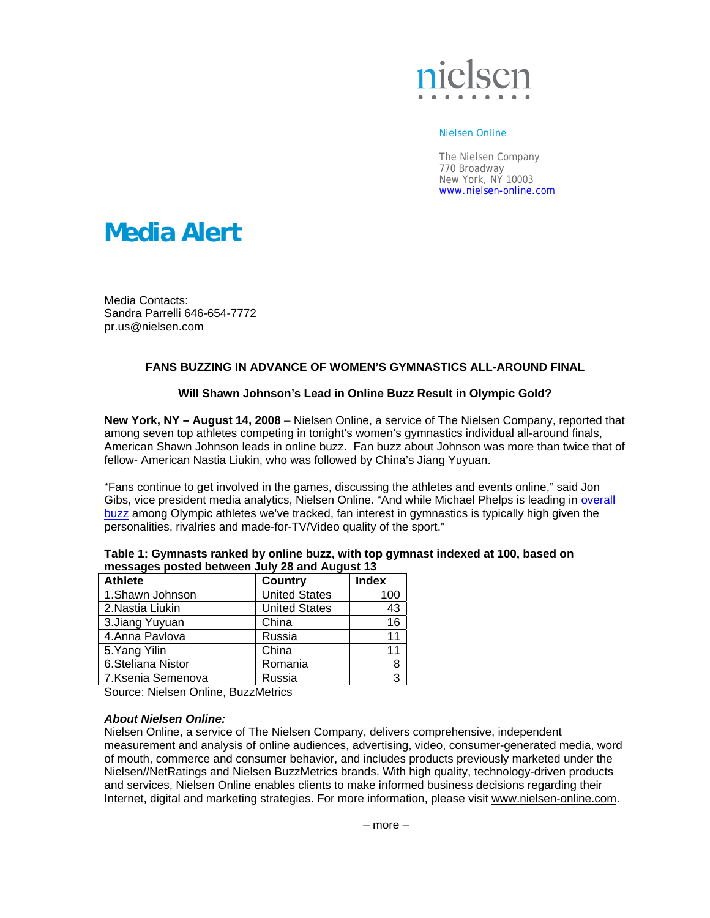

#### Nielsen Online

The Nielsen Company 770 Broadway New York, NY 10003 www.nielsen-online.com

# **Media Alert**

Media Contacts: Sandra Parrelli 646-654-7772 pr.us@nielsen.com

# **FANS BUZZING IN ADVANCE OF WOMEN'S GYMNASTICS ALL-AROUND FINAL**

### **Will Shawn Johnson's Lead in Online Buzz Result in Olympic Gold?**

**New York, NY – August 14, 2008** – Nielsen Online, a service of The Nielsen Company, reported that among seven top athletes competing in tonight's women's gymnastics individual all-around finals, American Shawn Johnson leads in online buzz. Fan buzz about Johnson was more than twice that of fellow- American Nastia Liukin, who was followed by China's Jiang Yuyuan.

"Fans continue to get involved in the games, discussing the athletes and events online," said Jon Gibs, vice president media analytics, Nielsen Online. "And while Michael Phelps is leading in overall buzz among Olympic athletes we've tracked, fan interest in gymnastics is typically high given the personalities, rivalries and made-for-TV/Video quality of the sport."

| messages posted between July 28 and August 13 |                      |              |
|-----------------------------------------------|----------------------|--------------|
| <b>Athlete</b>                                | <b>Country</b>       | <b>Index</b> |
| 1.Shawn Johnson                               | <b>United States</b> | 100          |
| 2. Nastia Liukin                              | <b>United States</b> | 43           |
| 3. Jiang Yuyuan                               | China                | 16           |
| 4.Anna Pavlova                                | Russia               | 11           |
| 5. Yang Yilin                                 | China                | 11           |
| 6.Steliana Nistor                             | Romania              | 8            |
| 7.Ksenia Semenova                             | Russia               | 3            |

| Table 1: Gymnasts ranked by online buzz, with top gymnast indexed at 100, based on |
|------------------------------------------------------------------------------------|
| messages posted between July 28 and August 13                                      |

Source: Nielsen Online, BuzzMetrics

### *About Nielsen Online:*

Nielsen Online, a service of The Nielsen Company, delivers comprehensive, independent measurement and analysis of online audiences, advertising, video, consumer-generated media, word of mouth, commerce and consumer behavior, and includes products previously marketed under the Nielsen//NetRatings and Nielsen BuzzMetrics brands. With high quality, technology-driven products and services, Nielsen Online enables clients to make informed business decisions regarding their Internet, digital and marketing strategies. For more information, please visit www.nielsen-online.com.